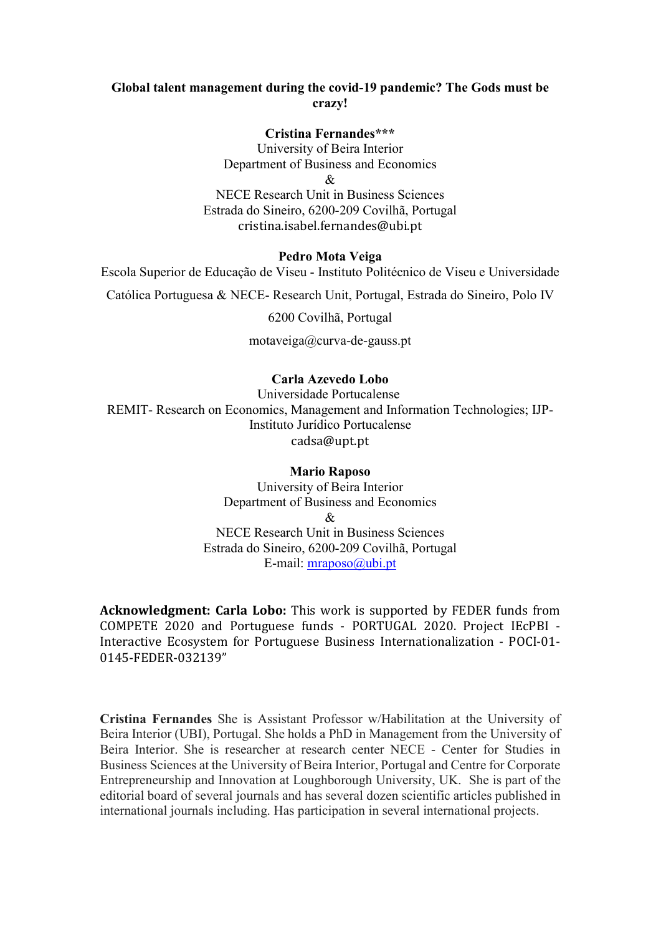# Global talent management during the covid-19 pandemic? The Gods must be crazy!

Cristina Fernandes\*\*\*

University of Beira Interior Department of Business and Economics  $\mathcal{R}_{r}$ 

NECE Research Unit in Business Sciences Estrada do Sineiro, 6200-209 Covilhã, Portugal cristina.isabel.fernandes@ubi.pt

# Pedro Mota Veiga

Escola Superior de Educação de Viseu - Instituto Politécnico de Viseu e Universidade

Católica Portuguesa & NECE- Research Unit, Portugal, Estrada do Sineiro, Polo IV

6200 Covilhã, Portugal

motaveiga@curva-de-gauss.pt

# Carla Azevedo Lobo

Universidade Portucalense REMIT- Research on Economics, Management and Information Technologies; IJP-Instituto Jurídico Portucalense cadsa@upt.pt

# Mario Raposo

University of Beira Interior Department of Business and Economics & NECE Research Unit in Business Sciences Estrada do Sineiro, 6200-209 Covilhã, Portugal E-mail: mraposo@ubi.pt

Acknowledgment: Carla Lobo: This work is supported by FEDER funds from COMPETE 2020 and Portuguese funds - PORTUGAL 2020. Project IEcPBI - Interactive Ecosystem for Portuguese Business Internationalization - POCI-01- 0145-FEDER-032139"

Cristina Fernandes She is Assistant Professor w/Habilitation at the University of Beira Interior (UBI), Portugal. She holds a PhD in Management from the University of Beira Interior. She is researcher at research center NECE - Center for Studies in Business Sciences at the University of Beira Interior, Portugal and Centre for Corporate Entrepreneurship and Innovation at Loughborough University, UK. She is part of the editorial board of several journals and has several dozen scientific articles published in international journals including. Has participation in several international projects.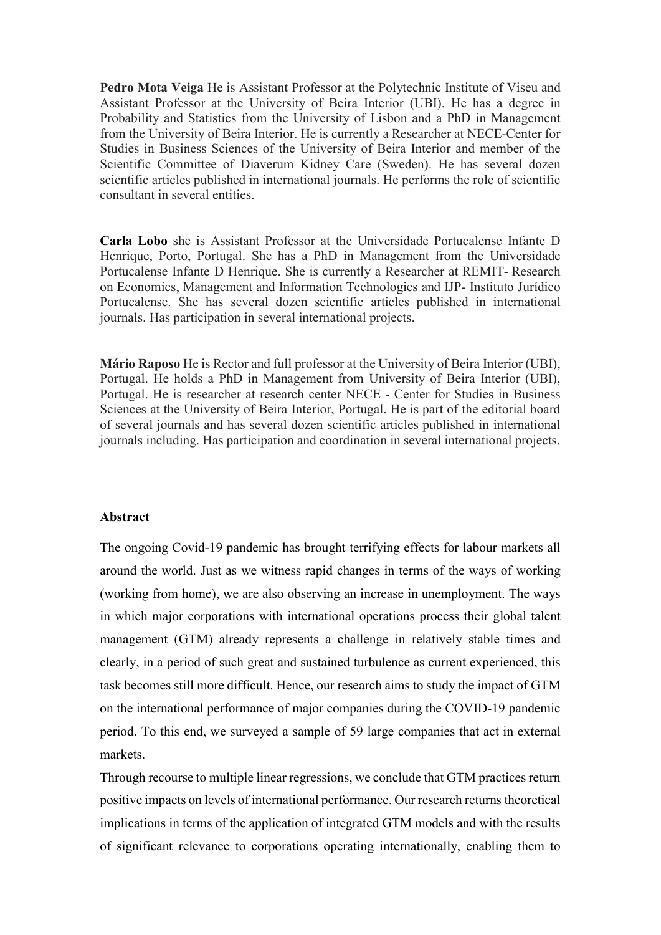Pedro Mota Veiga He is Assistant Professor at the Polytechnic Institute of Viseu and Assistant Professor at the University of Beira Interior (UBI). He has a degree in Probability and Statistics from the University of Lisbon and a PhD in Management from the University of Beira Interior. He is currently a Researcher at NECE-Center for Studies in Business Sciences of the University of Beira Interior and member of the Scientific Committee of Diaverum Kidney Care (Sweden). He has several dozen scientific articles published in international journals. He performs the role of scientific consultant in several entities.

Carla Lobo she is Assistant Professor at the Universidade Portucalense Infante D Henrique, Porto, Portugal. She has a PhD in Management from the Universidade Portucalense Infante D Henrique. She is currently a Researcher at REMIT- Research on Economics, Management and Information Technologies and IJP- Instituto Jurídico Portucalense. She has several dozen scientific articles published in international journals. Has participation in several international projects.

Mário Raposo He is Rector and full professor at the University of Beira Interior (UBI), Portugal. He holds a PhD in Management from University of Beira Interior (UBI), Portugal. He is researcher at research center NECE - Center for Studies in Business Sciences at the University of Beira Interior, Portugal. He is part of the editorial board of several journals and has several dozen scientific articles published in international journals including. Has participation and coordination in several international projects.

#### Abstract

The ongoing Covid-19 pandemic has brought terrifying effects for labour markets all around the world. Just as we witness rapid changes in terms of the ways of working (working from home), we are also observing an increase in unemployment. The ways in which major corporations with international operations process their global talent management (GTM) already represents a challenge in relatively stable times and clearly, in a period of such great and sustained turbulence as current experienced, this task becomes still more difficult. Hence, our research aims to study the impact of GTM on the international performance of major companies during the COVID-19 pandemic period. To this end, we surveyed a sample of 59 large companies that act in external markets.

Through recourse to multiple linear regressions, we conclude that GTM practices return positive impacts on levels of international performance. Our research returns theoretical implications in terms of the application of integrated GTM models and with the results of significant relevance to corporations operating internationally, enabling them to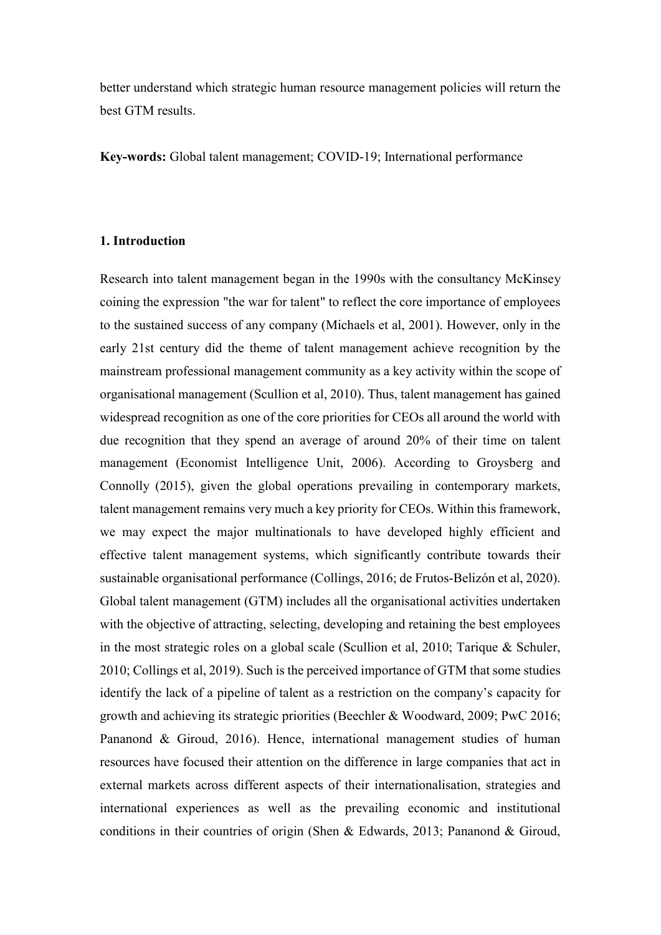better understand which strategic human resource management policies will return the best GTM results.

Key-words: Global talent management; COVID-19; International performance

## 1. Introduction

Research into talent management began in the 1990s with the consultancy McKinsey coining the expression "the war for talent" to reflect the core importance of employees to the sustained success of any company (Michaels et al, 2001). However, only in the early 21st century did the theme of talent management achieve recognition by the mainstream professional management community as a key activity within the scope of organisational management (Scullion et al, 2010). Thus, talent management has gained widespread recognition as one of the core priorities for CEOs all around the world with due recognition that they spend an average of around 20% of their time on talent management (Economist Intelligence Unit, 2006). According to Groysberg and Connolly (2015), given the global operations prevailing in contemporary markets, talent management remains very much a key priority for CEOs. Within this framework, we may expect the major multinationals to have developed highly efficient and effective talent management systems, which significantly contribute towards their sustainable organisational performance (Collings, 2016; de Frutos-Belizón et al, 2020). Global talent management (GTM) includes all the organisational activities undertaken with the objective of attracting, selecting, developing and retaining the best employees in the most strategic roles on a global scale (Scullion et al, 2010; Tarique & Schuler, 2010; Collings et al, 2019). Such is the perceived importance of GTM that some studies identify the lack of a pipeline of talent as a restriction on the company's capacity for growth and achieving its strategic priorities (Beechler & Woodward, 2009; PwC 2016; Pananond & Giroud, 2016). Hence, international management studies of human resources have focused their attention on the difference in large companies that act in external markets across different aspects of their internationalisation, strategies and international experiences as well as the prevailing economic and institutional conditions in their countries of origin (Shen & Edwards, 2013; Pananond & Giroud,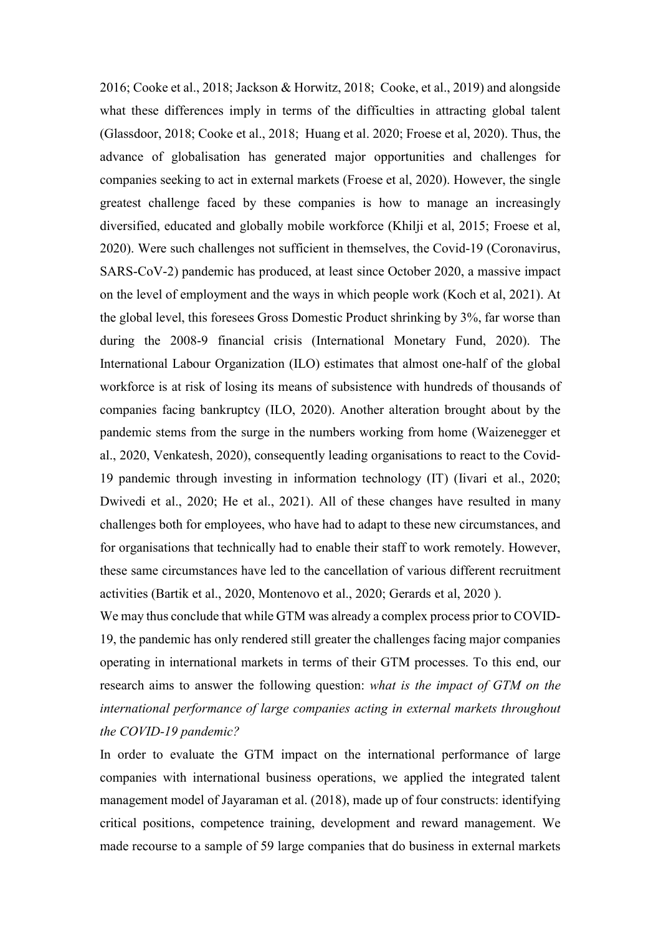2016; Cooke et al., 2018; Jackson & Horwitz, 2018; Cooke, et al., 2019) and alongside what these differences imply in terms of the difficulties in attracting global talent (Glassdoor, 2018; Cooke et al., 2018; Huang et al. 2020; Froese et al, 2020). Thus, the advance of globalisation has generated major opportunities and challenges for companies seeking to act in external markets (Froese et al, 2020). However, the single greatest challenge faced by these companies is how to manage an increasingly diversified, educated and globally mobile workforce (Khilji et al, 2015; Froese et al, 2020). Were such challenges not sufficient in themselves, the Covid-19 (Coronavirus, SARS-CoV-2) pandemic has produced, at least since October 2020, a massive impact on the level of employment and the ways in which people work (Koch et al, 2021). At the global level, this foresees Gross Domestic Product shrinking by 3%, far worse than during the 2008-9 financial crisis (International Monetary Fund, 2020). The International Labour Organization (ILO) estimates that almost one-half of the global workforce is at risk of losing its means of subsistence with hundreds of thousands of companies facing bankruptcy (ILO, 2020). Another alteration brought about by the pandemic stems from the surge in the numbers working from home (Waizenegger et al., 2020, Venkatesh, 2020), consequently leading organisations to react to the Covid-19 pandemic through investing in information technology (IT) (Iivari et al., 2020; Dwivedi et al., 2020; He et al., 2021). All of these changes have resulted in many challenges both for employees, who have had to adapt to these new circumstances, and for organisations that technically had to enable their staff to work remotely. However, these same circumstances have led to the cancellation of various different recruitment activities (Bartik et al., 2020, Montenovo et al., 2020; Gerards et al, 2020 ).

We may thus conclude that while GTM was already a complex process prior to COVID-19, the pandemic has only rendered still greater the challenges facing major companies operating in international markets in terms of their GTM processes. To this end, our research aims to answer the following question: what is the impact of GTM on the international performance of large companies acting in external markets throughout the COVID-19 pandemic?

In order to evaluate the GTM impact on the international performance of large companies with international business operations, we applied the integrated talent management model of Jayaraman et al. (2018), made up of four constructs: identifying critical positions, competence training, development and reward management. We made recourse to a sample of 59 large companies that do business in external markets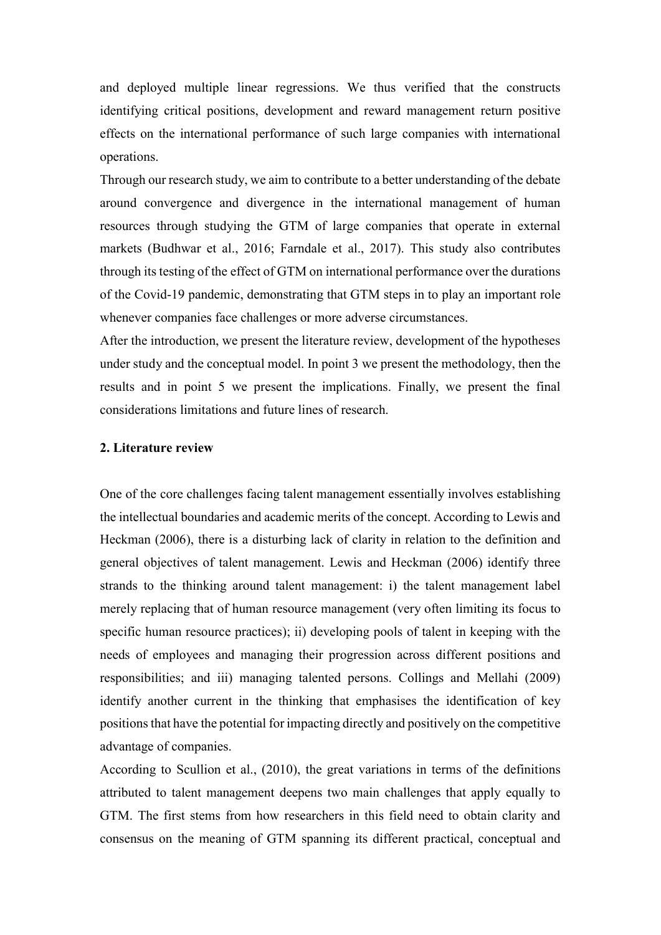and deployed multiple linear regressions. We thus verified that the constructs identifying critical positions, development and reward management return positive effects on the international performance of such large companies with international operations.

Through our research study, we aim to contribute to a better understanding of the debate around convergence and divergence in the international management of human resources through studying the GTM of large companies that operate in external markets (Budhwar et al., 2016; Farndale et al., 2017). This study also contributes through its testing of the effect of GTM on international performance over the durations of the Covid-19 pandemic, demonstrating that GTM steps in to play an important role whenever companies face challenges or more adverse circumstances.

After the introduction, we present the literature review, development of the hypotheses under study and the conceptual model. In point 3 we present the methodology, then the results and in point 5 we present the implications. Finally, we present the final considerations limitations and future lines of research.

#### 2. Literature review

One of the core challenges facing talent management essentially involves establishing the intellectual boundaries and academic merits of the concept. According to Lewis and Heckman (2006), there is a disturbing lack of clarity in relation to the definition and general objectives of talent management. Lewis and Heckman (2006) identify three strands to the thinking around talent management: i) the talent management label merely replacing that of human resource management (very often limiting its focus to specific human resource practices); ii) developing pools of talent in keeping with the needs of employees and managing their progression across different positions and responsibilities; and iii) managing talented persons. Collings and Mellahi (2009) identify another current in the thinking that emphasises the identification of key positions that have the potential for impacting directly and positively on the competitive advantage of companies.

According to Scullion et al., (2010), the great variations in terms of the definitions attributed to talent management deepens two main challenges that apply equally to GTM. The first stems from how researchers in this field need to obtain clarity and consensus on the meaning of GTM spanning its different practical, conceptual and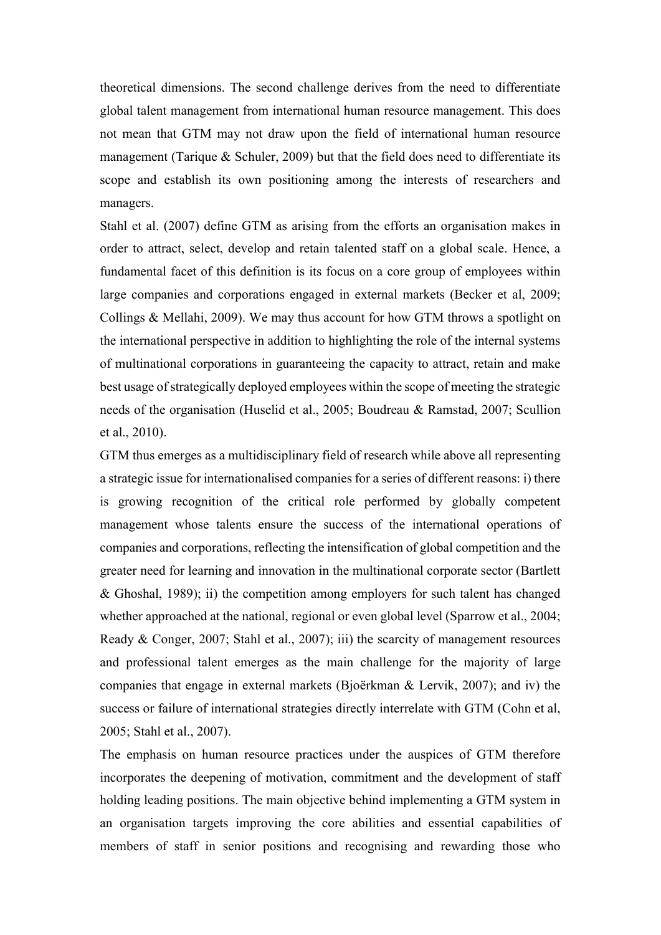theoretical dimensions. The second challenge derives from the need to differentiate global talent management from international human resource management. This does not mean that GTM may not draw upon the field of international human resource management (Tarique & Schuler, 2009) but that the field does need to differentiate its scope and establish its own positioning among the interests of researchers and managers.

Stahl et al. (2007) define GTM as arising from the efforts an organisation makes in order to attract, select, develop and retain talented staff on a global scale. Hence, a fundamental facet of this definition is its focus on a core group of employees within large companies and corporations engaged in external markets (Becker et al, 2009; Collings & Mellahi, 2009). We may thus account for how GTM throws a spotlight on the international perspective in addition to highlighting the role of the internal systems of multinational corporations in guaranteeing the capacity to attract, retain and make best usage of strategically deployed employees within the scope of meeting the strategic needs of the organisation (Huselid et al., 2005; Boudreau & Ramstad, 2007; Scullion et al., 2010).

GTM thus emerges as a multidisciplinary field of research while above all representing a strategic issue for internationalised companies for a series of different reasons: i) there is growing recognition of the critical role performed by globally competent management whose talents ensure the success of the international operations of companies and corporations, reflecting the intensification of global competition and the greater need for learning and innovation in the multinational corporate sector (Bartlett & Ghoshal, 1989); ii) the competition among employers for such talent has changed whether approached at the national, regional or even global level (Sparrow et al., 2004; Ready & Conger, 2007; Stahl et al., 2007); iii) the scarcity of management resources and professional talent emerges as the main challenge for the majority of large companies that engage in external markets (Bjoërkman & Lervik, 2007); and iv) the success or failure of international strategies directly interrelate with GTM (Cohn et al, 2005; Stahl et al., 2007).

The emphasis on human resource practices under the auspices of GTM therefore incorporates the deepening of motivation, commitment and the development of staff holding leading positions. The main objective behind implementing a GTM system in an organisation targets improving the core abilities and essential capabilities of members of staff in senior positions and recognising and rewarding those who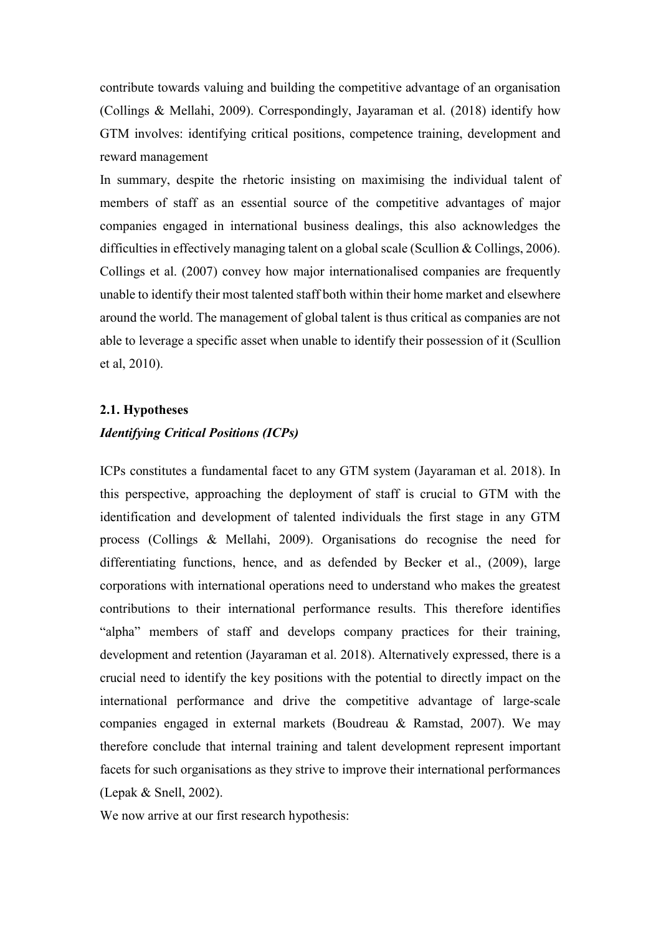contribute towards valuing and building the competitive advantage of an organisation (Collings & Mellahi, 2009). Correspondingly, Jayaraman et al. (2018) identify how GTM involves: identifying critical positions, competence training, development and reward management

In summary, despite the rhetoric insisting on maximising the individual talent of members of staff as an essential source of the competitive advantages of major companies engaged in international business dealings, this also acknowledges the difficulties in effectively managing talent on a global scale (Scullion & Collings, 2006). Collings et al. (2007) convey how major internationalised companies are frequently unable to identify their most talented staff both within their home market and elsewhere around the world. The management of global talent is thus critical as companies are not able to leverage a specific asset when unable to identify their possession of it (Scullion et al, 2010).

# 2.1. Hypotheses Identifying Critical Positions (ICPs)

ICPs constitutes a fundamental facet to any GTM system (Jayaraman et al. 2018). In this perspective, approaching the deployment of staff is crucial to GTM with the identification and development of talented individuals the first stage in any GTM process (Collings & Mellahi, 2009). Organisations do recognise the need for differentiating functions, hence, and as defended by Becker et al., (2009), large corporations with international operations need to understand who makes the greatest contributions to their international performance results. This therefore identifies "alpha" members of staff and develops company practices for their training, development and retention (Jayaraman et al. 2018). Alternatively expressed, there is a crucial need to identify the key positions with the potential to directly impact on the international performance and drive the competitive advantage of large-scale companies engaged in external markets (Boudreau & Ramstad, 2007). We may therefore conclude that internal training and talent development represent important facets for such organisations as they strive to improve their international performances (Lepak & Snell, 2002).

We now arrive at our first research hypothesis: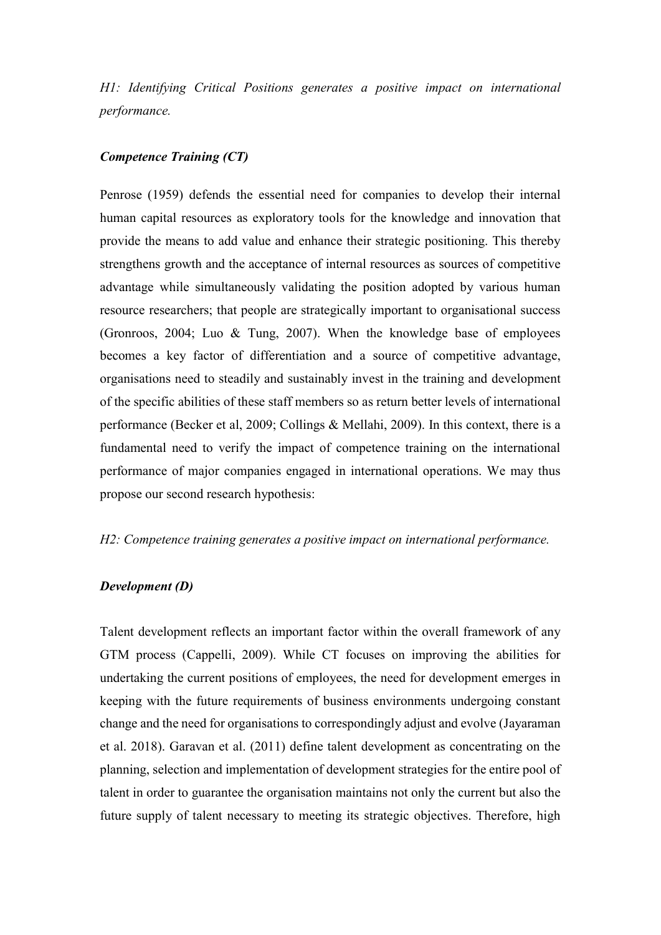H1: Identifying Critical Positions generates a positive impact on international performance.

## Competence Training (CT)

Penrose (1959) defends the essential need for companies to develop their internal human capital resources as exploratory tools for the knowledge and innovation that provide the means to add value and enhance their strategic positioning. This thereby strengthens growth and the acceptance of internal resources as sources of competitive advantage while simultaneously validating the position adopted by various human resource researchers; that people are strategically important to organisational success (Gronroos, 2004; Luo & Tung, 2007). When the knowledge base of employees becomes a key factor of differentiation and a source of competitive advantage, organisations need to steadily and sustainably invest in the training and development of the specific abilities of these staff members so as return better levels of international performance (Becker et al, 2009; Collings & Mellahi, 2009). In this context, there is a fundamental need to verify the impact of competence training on the international performance of major companies engaged in international operations. We may thus propose our second research hypothesis:

# H2: Competence training generates a positive impact on international performance.

#### Development (D)

Talent development reflects an important factor within the overall framework of any GTM process (Cappelli, 2009). While CT focuses on improving the abilities for undertaking the current positions of employees, the need for development emerges in keeping with the future requirements of business environments undergoing constant change and the need for organisations to correspondingly adjust and evolve (Jayaraman et al. 2018). Garavan et al. (2011) define talent development as concentrating on the planning, selection and implementation of development strategies for the entire pool of talent in order to guarantee the organisation maintains not only the current but also the future supply of talent necessary to meeting its strategic objectives. Therefore, high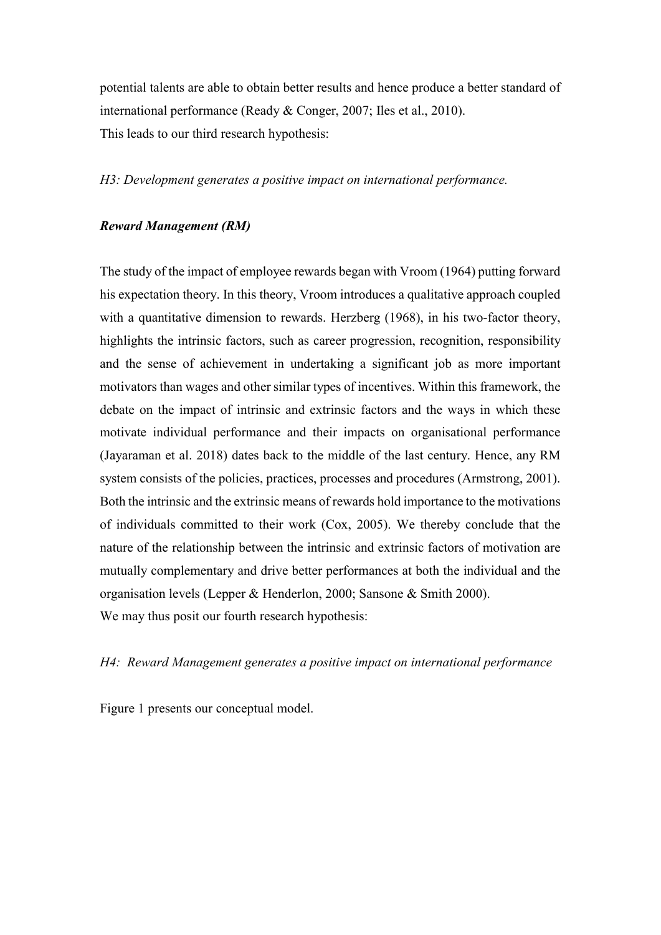potential talents are able to obtain better results and hence produce a better standard of international performance (Ready & Conger, 2007; Iles et al., 2010). This leads to our third research hypothesis:

H3: Development generates a positive impact on international performance.

### Reward Management (RM)

The study of the impact of employee rewards began with Vroom (1964) putting forward his expectation theory. In this theory, Vroom introduces a qualitative approach coupled with a quantitative dimension to rewards. Herzberg (1968), in his two-factor theory, highlights the intrinsic factors, such as career progression, recognition, responsibility and the sense of achievement in undertaking a significant job as more important motivators than wages and other similar types of incentives. Within this framework, the debate on the impact of intrinsic and extrinsic factors and the ways in which these motivate individual performance and their impacts on organisational performance (Jayaraman et al. 2018) dates back to the middle of the last century. Hence, any RM system consists of the policies, practices, processes and procedures (Armstrong, 2001). Both the intrinsic and the extrinsic means of rewards hold importance to the motivations of individuals committed to their work (Cox, 2005). We thereby conclude that the nature of the relationship between the intrinsic and extrinsic factors of motivation are mutually complementary and drive better performances at both the individual and the organisation levels (Lepper & Henderlon, 2000; Sansone & Smith 2000). We may thus posit our fourth research hypothesis:

## H4: Reward Management generates a positive impact on international performance

Figure 1 presents our conceptual model.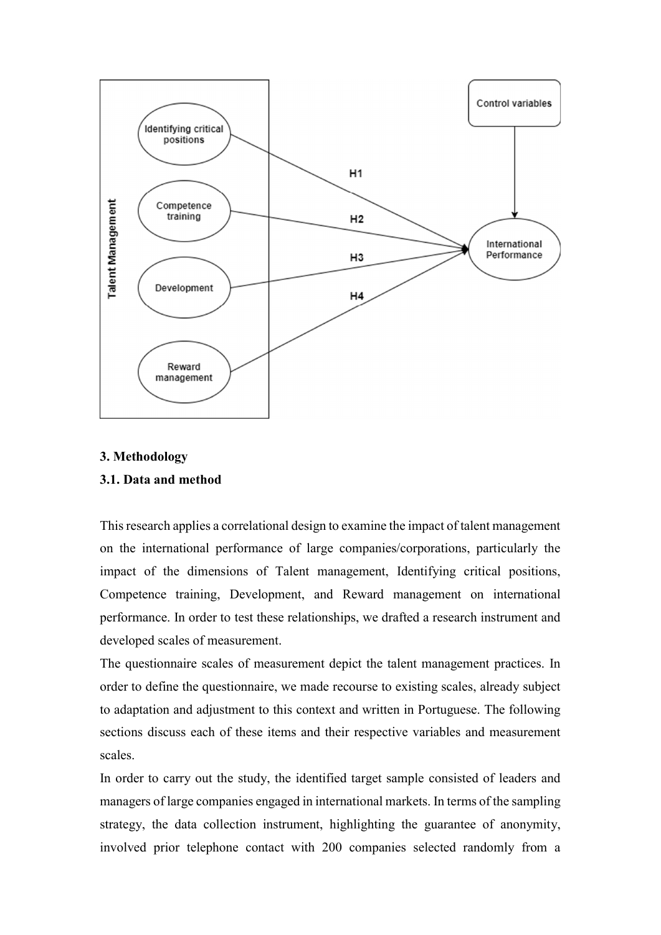

# 3. Methodology

# 3.1. Data and method

This research applies a correlational design to examine the impact of talent management on the international performance of large companies/corporations, particularly the impact of the dimensions of Talent management, Identifying critical positions, Competence training, Development, and Reward management on international performance. In order to test these relationships, we drafted a research instrument and developed scales of measurement.

The questionnaire scales of measurement depict the talent management practices. In order to define the questionnaire, we made recourse to existing scales, already subject to adaptation and adjustment to this context and written in Portuguese. The following sections discuss each of these items and their respective variables and measurement scales.

In order to carry out the study, the identified target sample consisted of leaders and managers of large companies engaged in international markets. In terms of the sampling strategy, the data collection instrument, highlighting the guarantee of anonymity, involved prior telephone contact with 200 companies selected randomly from a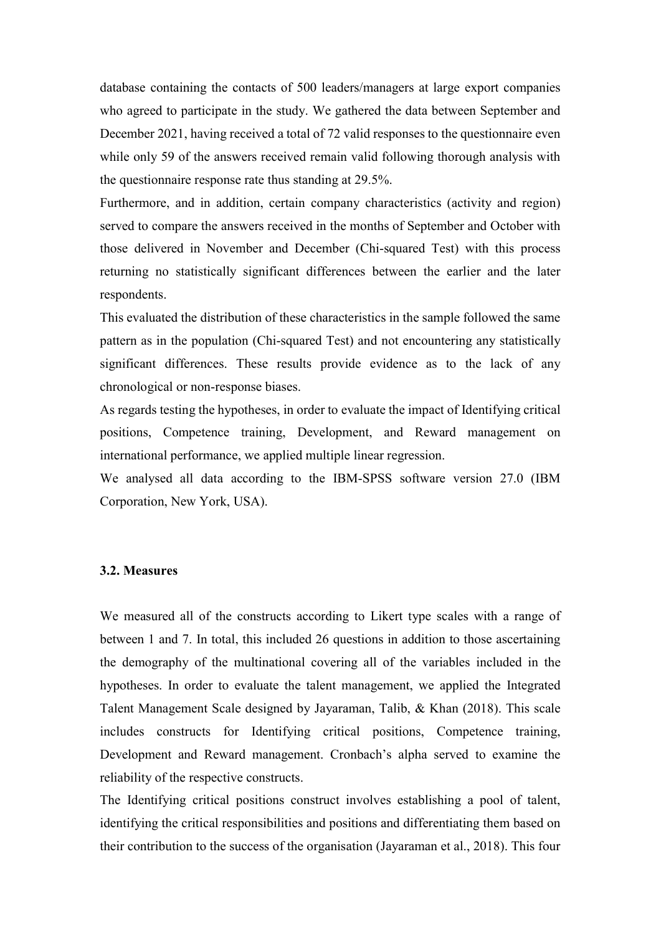database containing the contacts of 500 leaders/managers at large export companies who agreed to participate in the study. We gathered the data between September and December 2021, having received a total of 72 valid responses to the questionnaire even while only 59 of the answers received remain valid following thorough analysis with the questionnaire response rate thus standing at 29.5%.

Furthermore, and in addition, certain company characteristics (activity and region) served to compare the answers received in the months of September and October with those delivered in November and December (Chi-squared Test) with this process returning no statistically significant differences between the earlier and the later respondents.

This evaluated the distribution of these characteristics in the sample followed the same pattern as in the population (Chi-squared Test) and not encountering any statistically significant differences. These results provide evidence as to the lack of any chronological or non-response biases.

As regards testing the hypotheses, in order to evaluate the impact of Identifying critical positions, Competence training, Development, and Reward management on international performance, we applied multiple linear regression.

We analysed all data according to the IBM-SPSS software version 27.0 (IBM Corporation, New York, USA).

### 3.2. Measures

We measured all of the constructs according to Likert type scales with a range of between 1 and 7. In total, this included 26 questions in addition to those ascertaining the demography of the multinational covering all of the variables included in the hypotheses. In order to evaluate the talent management, we applied the Integrated Talent Management Scale designed by Jayaraman, Talib, & Khan (2018). This scale includes constructs for Identifying critical positions, Competence training, Development and Reward management. Cronbach's alpha served to examine the reliability of the respective constructs.

The Identifying critical positions construct involves establishing a pool of talent, identifying the critical responsibilities and positions and differentiating them based on their contribution to the success of the organisation (Jayaraman et al., 2018). This four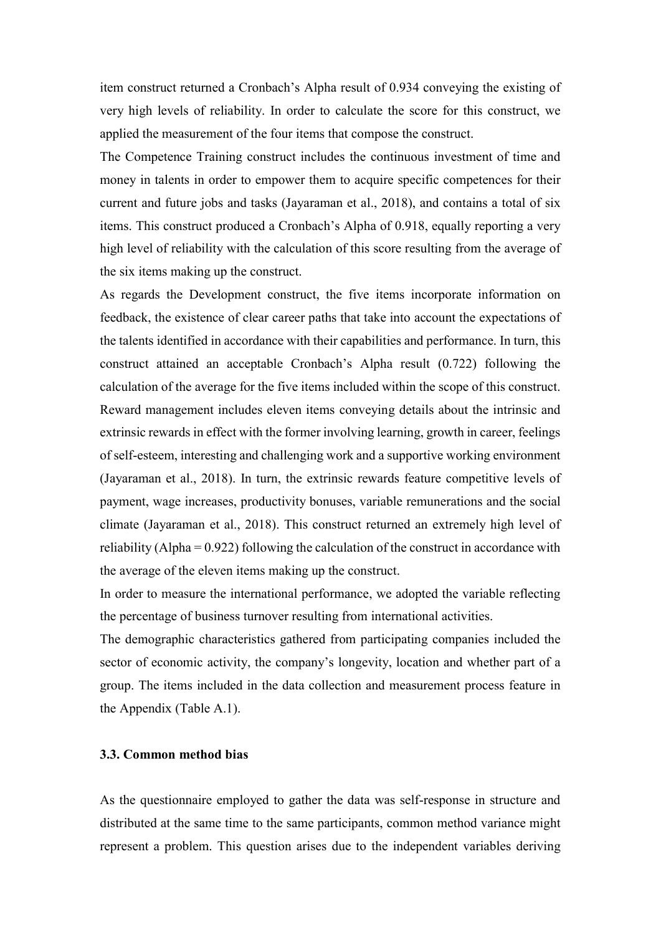item construct returned a Cronbach's Alpha result of 0.934 conveying the existing of very high levels of reliability. In order to calculate the score for this construct, we applied the measurement of the four items that compose the construct.

The Competence Training construct includes the continuous investment of time and money in talents in order to empower them to acquire specific competences for their current and future jobs and tasks (Jayaraman et al., 2018), and contains a total of six items. This construct produced a Cronbach's Alpha of 0.918, equally reporting a very high level of reliability with the calculation of this score resulting from the average of the six items making up the construct.

As regards the Development construct, the five items incorporate information on feedback, the existence of clear career paths that take into account the expectations of the talents identified in accordance with their capabilities and performance. In turn, this construct attained an acceptable Cronbach's Alpha result (0.722) following the calculation of the average for the five items included within the scope of this construct. Reward management includes eleven items conveying details about the intrinsic and extrinsic rewards in effect with the former involving learning, growth in career, feelings of self-esteem, interesting and challenging work and a supportive working environment (Jayaraman et al., 2018). In turn, the extrinsic rewards feature competitive levels of payment, wage increases, productivity bonuses, variable remunerations and the social climate (Jayaraman et al., 2018). This construct returned an extremely high level of reliability (Alpha = 0.922) following the calculation of the construct in accordance with the average of the eleven items making up the construct.

In order to measure the international performance, we adopted the variable reflecting the percentage of business turnover resulting from international activities.

The demographic characteristics gathered from participating companies included the sector of economic activity, the company's longevity, location and whether part of a group. The items included in the data collection and measurement process feature in the Appendix (Table A.1).

### 3.3. Common method bias

As the questionnaire employed to gather the data was self-response in structure and distributed at the same time to the same participants, common method variance might represent a problem. This question arises due to the independent variables deriving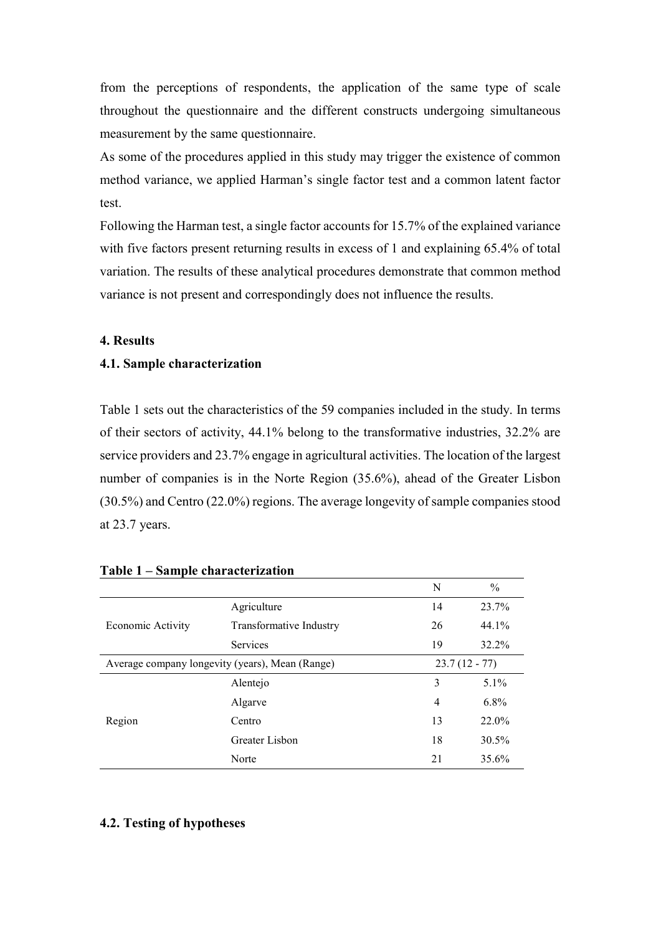from the perceptions of respondents, the application of the same type of scale throughout the questionnaire and the different constructs undergoing simultaneous measurement by the same questionnaire.

As some of the procedures applied in this study may trigger the existence of common method variance, we applied Harman's single factor test and a common latent factor test.

Following the Harman test, a single factor accounts for 15.7% of the explained variance with five factors present returning results in excess of 1 and explaining 65.4% of total variation. The results of these analytical procedures demonstrate that common method variance is not present and correspondingly does not influence the results.

# 4. Results

### 4.1. Sample characterization

Table 1 sets out the characteristics of the 59 companies included in the study. In terms of their sectors of activity, 44.1% belong to the transformative industries, 32.2% are service providers and 23.7% engage in agricultural activities. The location of the largest number of companies is in the Norte Region (35.6%), ahead of the Greater Lisbon (30.5%) and Centro (22.0%) regions. The average longevity of sample companies stood at 23.7 years.

|                                                 |                         | N               | $\%$    |
|-------------------------------------------------|-------------------------|-----------------|---------|
| Economic Activity                               | Agriculture             | 14              | 23.7%   |
|                                                 | Transformative Industry | 26              | 44.1%   |
|                                                 | <b>Services</b>         | 19              | 32.2%   |
| Average company longevity (years), Mean (Range) |                         | $23.7(12 - 77)$ |         |
| Region                                          | Alentejo                | 3               | 5.1%    |
|                                                 | Algarve                 | 4               | $6.8\%$ |
|                                                 | Centro                  | 13              | 22.0%   |
|                                                 | Greater Lisbon          | 18              | 30.5%   |
|                                                 | Norte                   | 21              | 35.6%   |

#### Table 1 – Sample characterization

#### 4.2. Testing of hypotheses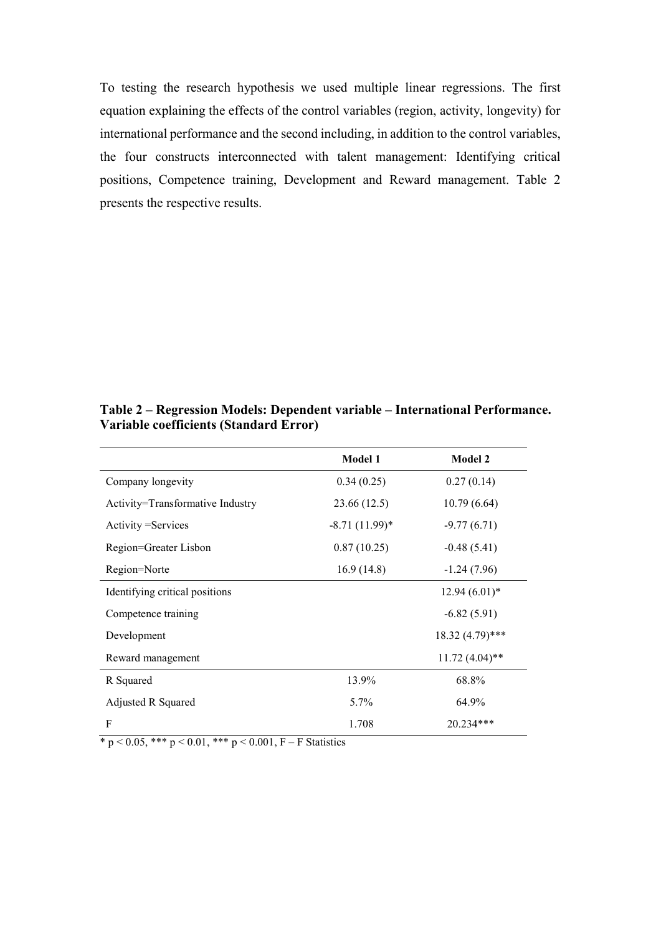To testing the research hypothesis we used multiple linear regressions. The first equation explaining the effects of the control variables (region, activity, longevity) for international performance and the second including, in addition to the control variables, the four constructs interconnected with talent management: Identifying critical positions, Competence training, Development and Reward management. Table 2 presents the respective results.

|                                  | <b>Model 1</b>   | <b>Model 2</b>    |  |
|----------------------------------|------------------|-------------------|--|
| Company longevity                | 0.34(0.25)       | 0.27(0.14)        |  |
| Activity=Transformative Industry | 23.66 (12.5)     | 10.79(6.64)       |  |
| Activity = Services              | $-8.71(11.99)$ * | $-9.77(6.71)$     |  |
| Region=Greater Lisbon            | 0.87(10.25)      | $-0.48(5.41)$     |  |
| Region=Norte                     | 16.9(14.8)       | $-1.24(7.96)$     |  |
| Identifying critical positions   |                  | $12.94(6.01)*$    |  |
| Competence training              |                  | $-6.82(5.91)$     |  |
| Development                      |                  | $18.32(4.79)$ *** |  |
| Reward management                |                  | $11.72(4.04)$ **  |  |
| R Squared                        | 13.9%            | 68.8%             |  |
| Adjusted R Squared               | 5.7%             | 64.9%             |  |
| F                                | 1.708            | 20.234***         |  |

Table 2 – Regression Models: Dependent variable – International Performance. Variable coefficients (Standard Error)

\* p < 0.05, \*\*\* p < 0.01, \*\*\* p < 0.001, F – F Statistics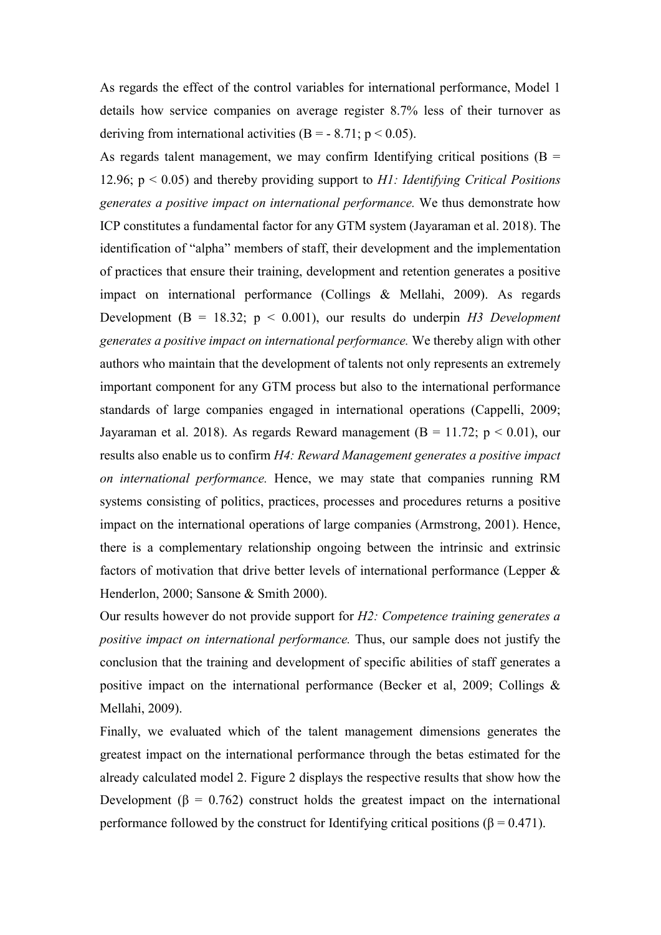As regards the effect of the control variables for international performance, Model 1 details how service companies on average register 8.7% less of their turnover as deriving from international activities (B = - 8.71;  $p < 0.05$ ).

As regards talent management, we may confirm Identifying critical positions ( $B =$ 12.96;  $p < 0.05$ ) and thereby providing support to H1: Identifying Critical Positions generates a positive impact on international performance. We thus demonstrate how ICP constitutes a fundamental factor for any GTM system (Jayaraman et al. 2018). The identification of "alpha" members of staff, their development and the implementation of practices that ensure their training, development and retention generates a positive impact on international performance (Collings & Mellahi, 2009). As regards Development (B = 18.32;  $p < 0.001$ ), our results do underpin H3 Development generates a positive impact on international performance. We thereby align with other authors who maintain that the development of talents not only represents an extremely important component for any GTM process but also to the international performance standards of large companies engaged in international operations (Cappelli, 2009; Jayaraman et al. 2018). As regards Reward management ( $B = 11.72$ ;  $p < 0.01$ ), our results also enable us to confirm H4: Reward Management generates a positive impact on international performance. Hence, we may state that companies running RM systems consisting of politics, practices, processes and procedures returns a positive impact on the international operations of large companies (Armstrong, 2001). Hence, there is a complementary relationship ongoing between the intrinsic and extrinsic factors of motivation that drive better levels of international performance (Lepper & Henderlon, 2000; Sansone & Smith 2000).

Our results however do not provide support for H2: Competence training generates a positive impact on international performance. Thus, our sample does not justify the conclusion that the training and development of specific abilities of staff generates a positive impact on the international performance (Becker et al, 2009; Collings & Mellahi, 2009).

Finally, we evaluated which of the talent management dimensions generates the greatest impact on the international performance through the betas estimated for the already calculated model 2. Figure 2 displays the respective results that show how the Development ( $\beta = 0.762$ ) construct holds the greatest impact on the international performance followed by the construct for Identifying critical positions ( $\beta$  = 0.471).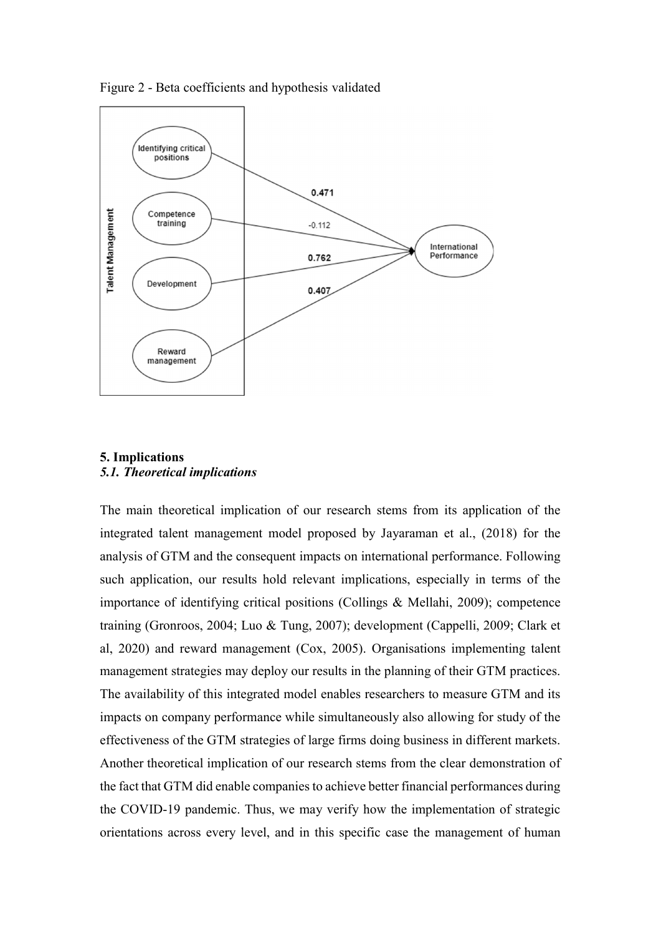

Figure 2 - Beta coefficients and hypothesis validated

# 5. Implications 5.1. Theoretical implications

The main theoretical implication of our research stems from its application of the integrated talent management model proposed by Jayaraman et al., (2018) for the analysis of GTM and the consequent impacts on international performance. Following such application, our results hold relevant implications, especially in terms of the importance of identifying critical positions (Collings & Mellahi, 2009); competence training (Gronroos, 2004; Luo & Tung, 2007); development (Cappelli, 2009; Clark et al, 2020) and reward management (Cox, 2005). Organisations implementing talent management strategies may deploy our results in the planning of their GTM practices. The availability of this integrated model enables researchers to measure GTM and its impacts on company performance while simultaneously also allowing for study of the effectiveness of the GTM strategies of large firms doing business in different markets. Another theoretical implication of our research stems from the clear demonstration of the fact that GTM did enable companies to achieve better financial performances during the COVID-19 pandemic. Thus, we may verify how the implementation of strategic orientations across every level, and in this specific case the management of human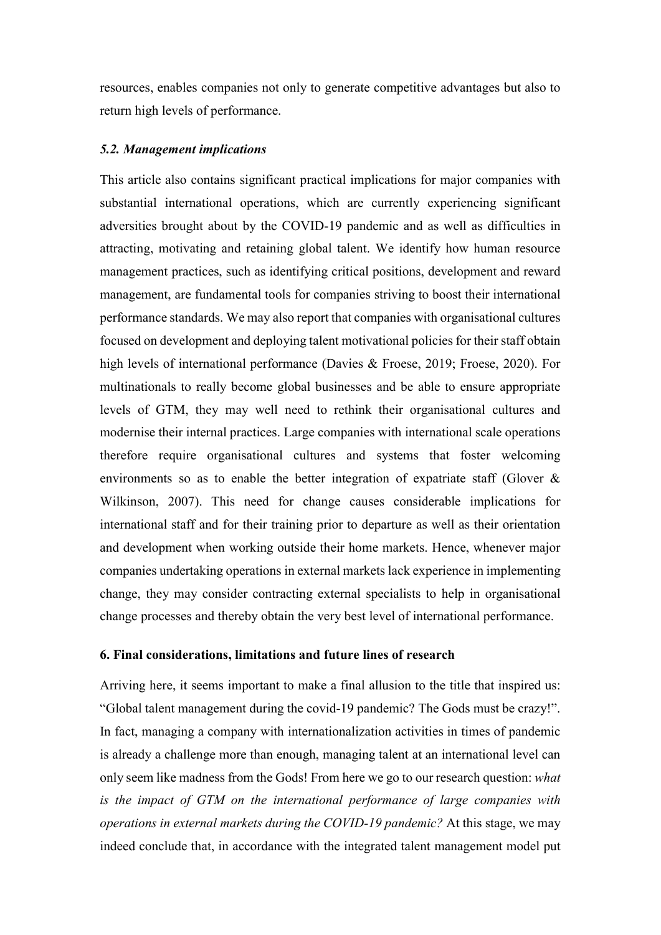resources, enables companies not only to generate competitive advantages but also to return high levels of performance.

#### 5.2. Management implications

This article also contains significant practical implications for major companies with substantial international operations, which are currently experiencing significant adversities brought about by the COVID-19 pandemic and as well as difficulties in attracting, motivating and retaining global talent. We identify how human resource management practices, such as identifying critical positions, development and reward management, are fundamental tools for companies striving to boost their international performance standards. We may also report that companies with organisational cultures focused on development and deploying talent motivational policies for their staff obtain high levels of international performance (Davies & Froese, 2019; Froese, 2020). For multinationals to really become global businesses and be able to ensure appropriate levels of GTM, they may well need to rethink their organisational cultures and modernise their internal practices. Large companies with international scale operations therefore require organisational cultures and systems that foster welcoming environments so as to enable the better integration of expatriate staff (Glover & Wilkinson, 2007). This need for change causes considerable implications for international staff and for their training prior to departure as well as their orientation and development when working outside their home markets. Hence, whenever major companies undertaking operations in external markets lack experience in implementing change, they may consider contracting external specialists to help in organisational change processes and thereby obtain the very best level of international performance.

#### 6. Final considerations, limitations and future lines of research

Arriving here, it seems important to make a final allusion to the title that inspired us: "Global talent management during the covid-19 pandemic? The Gods must be crazy!". In fact, managing a company with internationalization activities in times of pandemic is already a challenge more than enough, managing talent at an international level can only seem like madness from the Gods! From here we go to our research question: what is the impact of GTM on the international performance of large companies with operations in external markets during the COVID-19 pandemic? At this stage, we may indeed conclude that, in accordance with the integrated talent management model put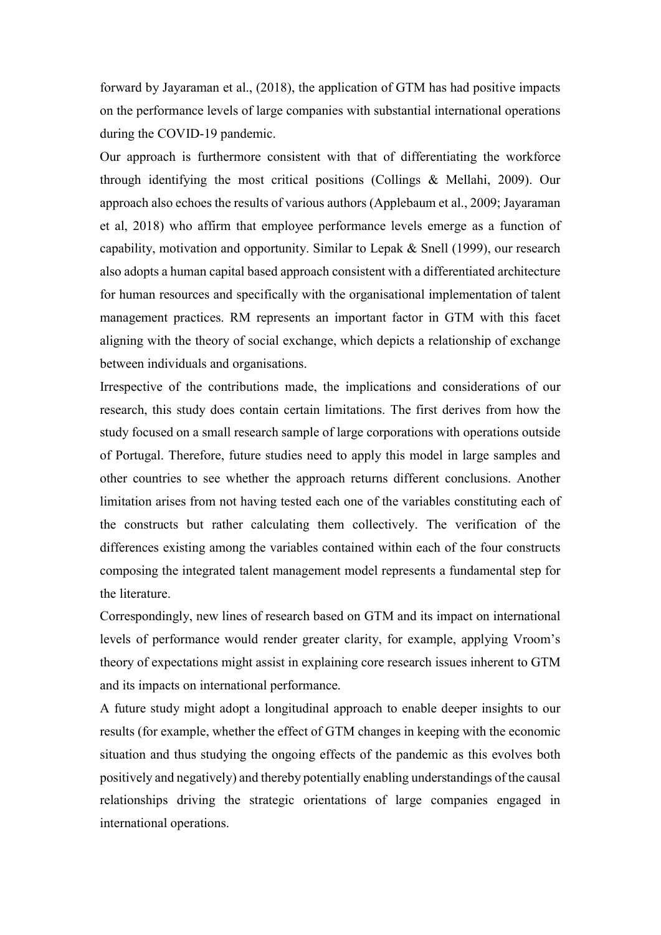forward by Jayaraman et al., (2018), the application of GTM has had positive impacts on the performance levels of large companies with substantial international operations during the COVID-19 pandemic.

Our approach is furthermore consistent with that of differentiating the workforce through identifying the most critical positions (Collings & Mellahi, 2009). Our approach also echoes the results of various authors (Applebaum et al., 2009; Jayaraman et al, 2018) who affirm that employee performance levels emerge as a function of capability, motivation and opportunity. Similar to Lepak & Snell (1999), our research also adopts a human capital based approach consistent with a differentiated architecture for human resources and specifically with the organisational implementation of talent management practices. RM represents an important factor in GTM with this facet aligning with the theory of social exchange, which depicts a relationship of exchange between individuals and organisations.

Irrespective of the contributions made, the implications and considerations of our research, this study does contain certain limitations. The first derives from how the study focused on a small research sample of large corporations with operations outside of Portugal. Therefore, future studies need to apply this model in large samples and other countries to see whether the approach returns different conclusions. Another limitation arises from not having tested each one of the variables constituting each of the constructs but rather calculating them collectively. The verification of the differences existing among the variables contained within each of the four constructs composing the integrated talent management model represents a fundamental step for the literature.

Correspondingly, new lines of research based on GTM and its impact on international levels of performance would render greater clarity, for example, applying Vroom's theory of expectations might assist in explaining core research issues inherent to GTM and its impacts on international performance.

A future study might adopt a longitudinal approach to enable deeper insights to our results (for example, whether the effect of GTM changes in keeping with the economic situation and thus studying the ongoing effects of the pandemic as this evolves both positively and negatively) and thereby potentially enabling understandings of the causal relationships driving the strategic orientations of large companies engaged in international operations.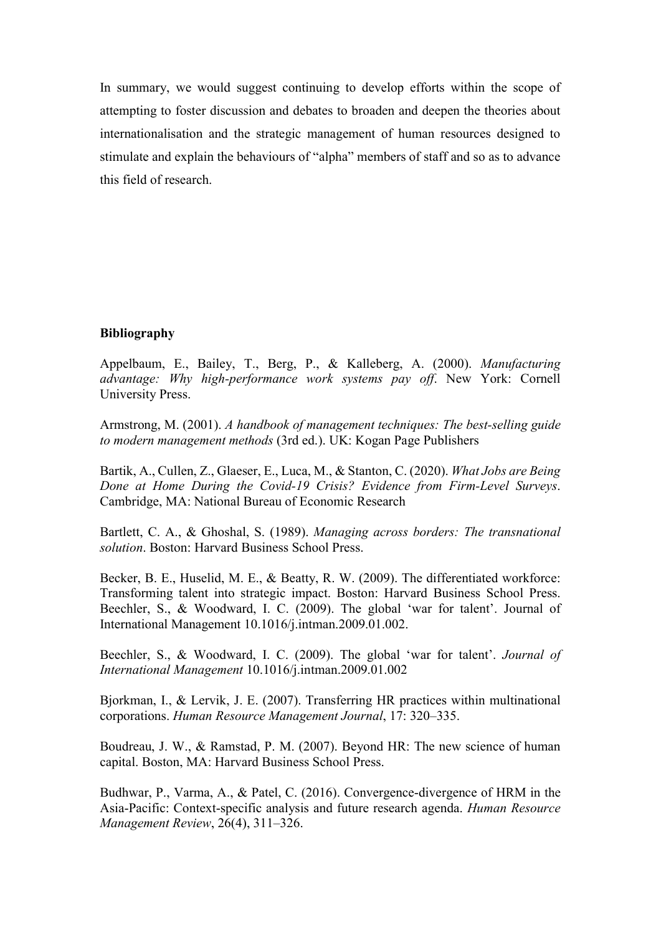In summary, we would suggest continuing to develop efforts within the scope of attempting to foster discussion and debates to broaden and deepen the theories about internationalisation and the strategic management of human resources designed to stimulate and explain the behaviours of "alpha" members of staff and so as to advance this field of research.

# Bibliography

Appelbaum, E., Bailey, T., Berg, P., & Kalleberg, A. (2000). Manufacturing advantage: Why high-performance work systems pay off. New York: Cornell University Press.

Armstrong, M. (2001). A handbook of management techniques: The best-selling guide to modern management methods (3rd ed.). UK: Kogan Page Publishers

Bartik, A., Cullen, Z., Glaeser, E., Luca, M., & Stanton, C. (2020). What Jobs are Being Done at Home During the Covid-19 Crisis? Evidence from Firm-Level Surveys. Cambridge, MA: National Bureau of Economic Research

Bartlett, C. A., & Ghoshal, S. (1989). Managing across borders: The transnational solution. Boston: Harvard Business School Press.

Becker, B. E., Huselid, M. E., & Beatty, R. W. (2009). The differentiated workforce: Transforming talent into strategic impact. Boston: Harvard Business School Press. Beechler, S., & Woodward, I. C. (2009). The global 'war for talent'. Journal of International Management 10.1016/j.intman.2009.01.002.

Beechler, S., & Woodward, I. C. (2009). The global 'war for talent'. Journal of International Management 10.1016/j.intman.2009.01.002

Bjorkman, I., & Lervik, J. E. (2007). Transferring HR practices within multinational corporations. Human Resource Management Journal, 17: 320–335.

Boudreau, J. W., & Ramstad, P. M. (2007). Beyond HR: The new science of human capital. Boston, MA: Harvard Business School Press.

Budhwar, P., Varma, A., & Patel, C. (2016). Convergence-divergence of HRM in the Asia-Pacific: Context-specific analysis and future research agenda. Human Resource Management Review, 26(4), 311–326.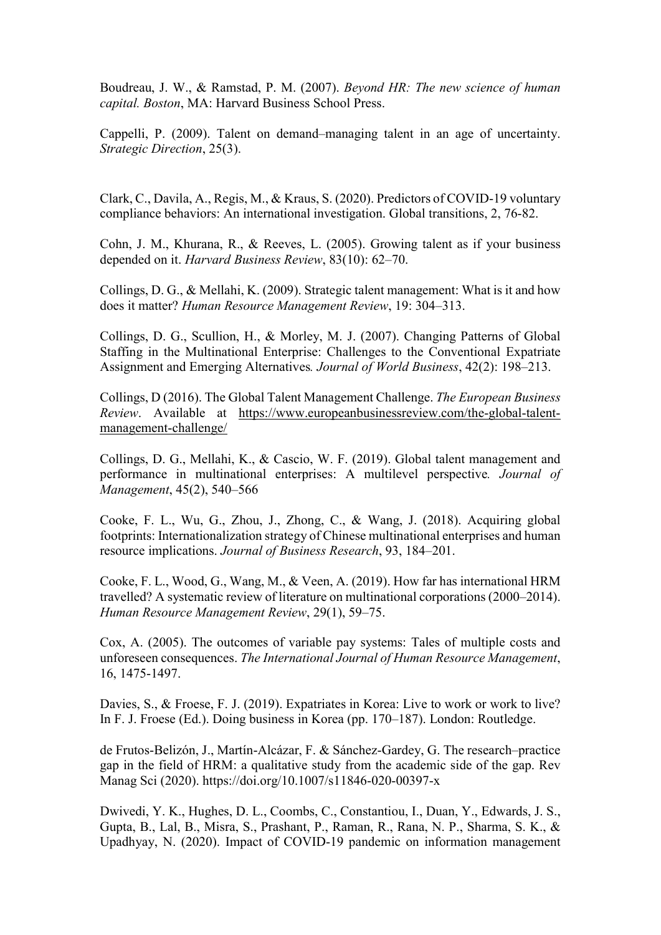Boudreau, J. W., & Ramstad, P. M. (2007). Beyond HR: The new science of human capital. Boston, MA: Harvard Business School Press.

Cappelli, P. (2009). Talent on demand–managing talent in an age of uncertainty. Strategic Direction, 25(3).

Clark, C., Davila, A., Regis, M., & Kraus, S. (2020). Predictors of COVID-19 voluntary compliance behaviors: An international investigation. Global transitions, 2, 76-82.

Cohn, J. M., Khurana, R., & Reeves, L. (2005). Growing talent as if your business depended on it. Harvard Business Review, 83(10): 62–70.

Collings, D. G., & Mellahi, K. (2009). Strategic talent management: What is it and how does it matter? Human Resource Management Review, 19: 304–313.

Collings, D. G., Scullion, H., & Morley, M. J. (2007). Changing Patterns of Global Staffing in the Multinational Enterprise: Challenges to the Conventional Expatriate Assignment and Emerging Alternatives. Journal of World Business, 42(2): 198–213.

Collings, D (2016). The Global Talent Management Challenge. The European Business Review. Available at https://www.europeanbusinessreview.com/the-global-talentmanagement-challenge/

Collings, D. G., Mellahi, K., & Cascio, W. F. (2019). Global talent management and performance in multinational enterprises: A multilevel perspective. Journal of Management, 45(2), 540–566

Cooke, F. L., Wu, G., Zhou, J., Zhong, C., & Wang, J. (2018). Acquiring global footprints: Internationalization strategy of Chinese multinational enterprises and human resource implications. Journal of Business Research, 93, 184–201.

Cooke, F. L., Wood, G., Wang, M., & Veen, A. (2019). How far has international HRM travelled? A systematic review of literature on multinational corporations (2000–2014). Human Resource Management Review, 29(1), 59–75.

Cox, A. (2005). The outcomes of variable pay systems: Tales of multiple costs and unforeseen consequences. The International Journal of Human Resource Management, 16, 1475-1497.

Davies, S., & Froese, F. J. (2019). Expatriates in Korea: Live to work or work to live? In F. J. Froese (Ed.). Doing business in Korea (pp. 170–187). London: Routledge.

de Frutos-Belizón, J., Martín-Alcázar, F. & Sánchez-Gardey, G. The research–practice gap in the field of HRM: a qualitative study from the academic side of the gap. Rev Manag Sci (2020). https://doi.org/10.1007/s11846-020-00397-x

Dwivedi, Y. K., Hughes, D. L., Coombs, C., Constantiou, I., Duan, Y., Edwards, J. S., Gupta, B., Lal, B., Misra, S., Prashant, P., Raman, R., Rana, N. P., Sharma, S. K., & Upadhyay, N. (2020). Impact of COVID-19 pandemic on information management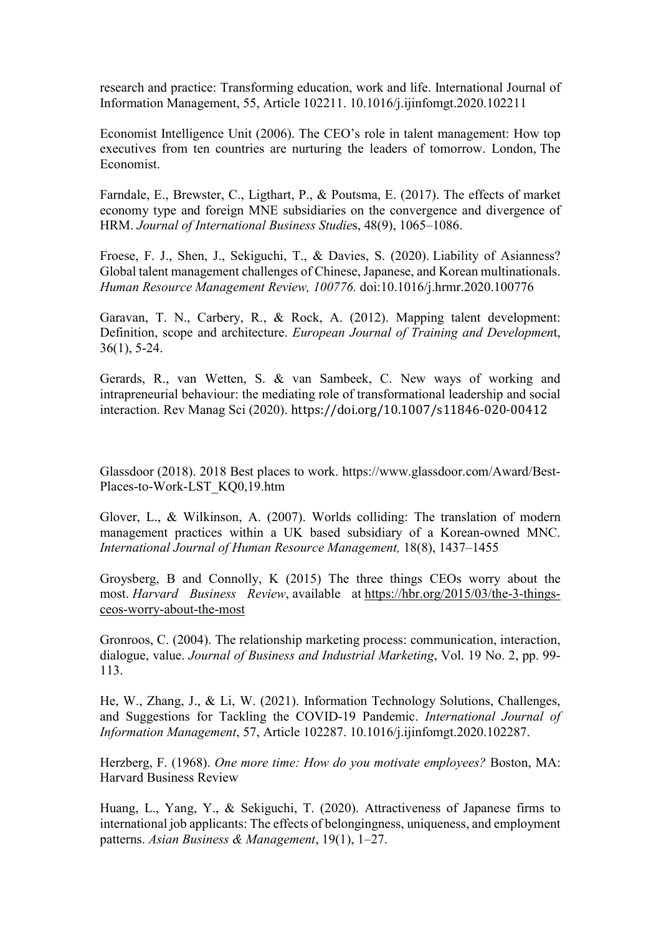research and practice: Transforming education, work and life. International Journal of Information Management, 55, Article 102211. 10.1016/j.ijinfomgt.2020.102211

Economist Intelligence Unit (2006). The CEO's role in talent management: How top executives from ten countries are nurturing the leaders of tomorrow. London, The Economist.

Farndale, E., Brewster, C., Ligthart, P., & Poutsma, E. (2017). The effects of market economy type and foreign MNE subsidiaries on the convergence and divergence of HRM. Journal of International Business Studies, 48(9), 1065–1086.

Froese, F. J., Shen, J., Sekiguchi, T., & Davies, S. (2020). Liability of Asianness? Global talent management challenges of Chinese, Japanese, and Korean multinationals. Human Resource Management Review, 100776. doi:10.1016/j.hrmr.2020.100776

Garavan, T. N., Carbery, R., & Rock, A. (2012). Mapping talent development: Definition, scope and architecture. European Journal of Training and Development, 36(1), 5-24.

Gerards, R., van Wetten, S. & van Sambeek, C. New ways of working and intrapreneurial behaviour: the mediating role of transformational leadership and social interaction. Rev Manag Sci (2020). https://doi.org/10.1007/s11846-020-00412

Glassdoor (2018). 2018 Best places to work. https://www.glassdoor.com/Award/Best-Places-to-Work-LST\_KQ0,19.htm

Glover, L., & Wilkinson, A. (2007). Worlds colliding: The translation of modern management practices within a UK based subsidiary of a Korean-owned MNC. International Journal of Human Resource Management, 18(8), 1437–1455

Groysberg, B and Connolly, K (2015) The three things CEOs worry about the most. Harvard Business Review, available at https://hbr.org/2015/03/the-3-thingsceos-worry-about-the-most

Gronroos, C. (2004). The relationship marketing process: communication, interaction, dialogue, value. Journal of Business and Industrial Marketing, Vol. 19 No. 2, pp. 99- 113.

He, W., Zhang, J., & Li, W. (2021). Information Technology Solutions, Challenges, and Suggestions for Tackling the COVID-19 Pandemic. International Journal of Information Management, 57, Article 102287. 10.1016/j.ijinfomgt.2020.102287.

Herzberg, F. (1968). One more time: How do you motivate employees? Boston, MA: Harvard Business Review

Huang, L., Yang, Y., & Sekiguchi, T. (2020). Attractiveness of Japanese firms to international job applicants: The effects of belongingness, uniqueness, and employment patterns. Asian Business & Management, 19(1), 1–27.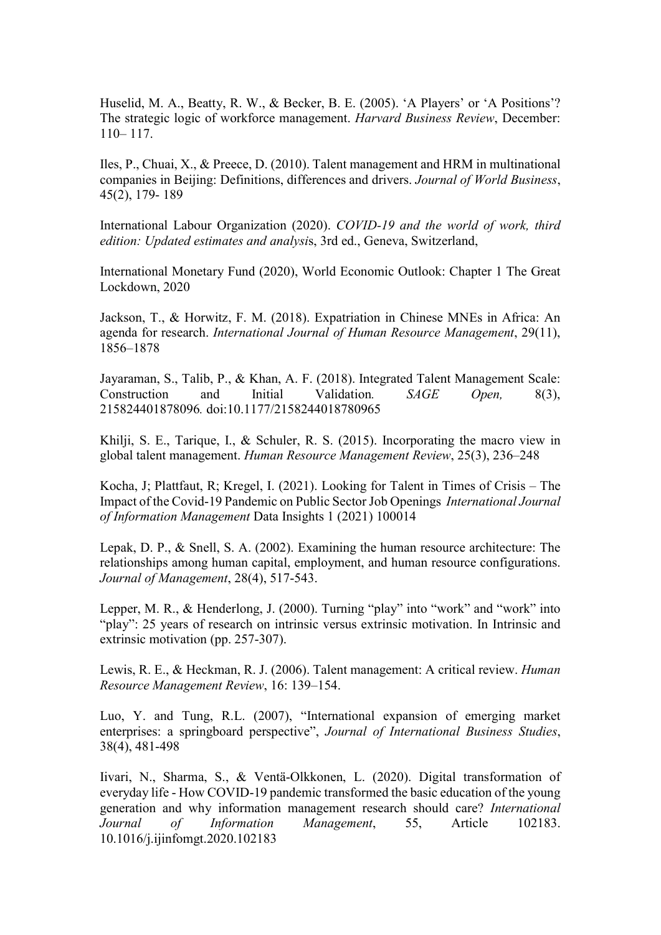Huselid, M. A., Beatty, R. W., & Becker, B. E. (2005). 'A Players' or 'A Positions'? The strategic logic of workforce management. Harvard Business Review, December: 110– 117.

Iles, P., Chuai, X., & Preece, D. (2010). Talent management and HRM in multinational companies in Beijing: Definitions, differences and drivers. Journal of World Business, 45(2), 179- 189

International Labour Organization (2020). COVID-19 and the world of work, third edition: Updated estimates and analysis, 3rd ed., Geneva, Switzerland,

International Monetary Fund (2020), World Economic Outlook: Chapter 1 The Great Lockdown, 2020

Jackson, T., & Horwitz, F. M. (2018). Expatriation in Chinese MNEs in Africa: An agenda for research. International Journal of Human Resource Management, 29(11), 1856–1878

Jayaraman, S., Talib, P., & Khan, A. F. (2018). Integrated Talent Management Scale: Construction and Initial Validation. SAGE Open, 8(3), 215824401878096. doi:10.1177/2158244018780965

Khilji, S. E., Tarique, I., & Schuler, R. S. (2015). Incorporating the macro view in global talent management. Human Resource Management Review, 25(3), 236–248

Kocha, J; Plattfaut, R; Kregel, I. (2021). Looking for Talent in Times of Crisis – The Impact of the Covid-19 Pandemic on Public Sector Job Openings International Journal of Information Management Data Insights 1 (2021) 100014

Lepak, D. P., & Snell, S. A. (2002). Examining the human resource architecture: The relationships among human capital, employment, and human resource configurations. Journal of Management, 28(4), 517-543.

Lepper, M. R., & Henderlong, J. (2000). Turning "play" into "work" and "work" into "play": 25 years of research on intrinsic versus extrinsic motivation. In Intrinsic and extrinsic motivation (pp. 257-307).

Lewis, R. E., & Heckman, R. J. (2006). Talent management: A critical review. Human Resource Management Review, 16: 139–154.

Luo, Y. and Tung, R.L. (2007), "International expansion of emerging market enterprises: a springboard perspective", Journal of International Business Studies, 38(4), 481-498

Iivari, N., Sharma, S., & Ventä-Olkkonen, L. (2020). Digital transformation of everyday life - How COVID-19 pandemic transformed the basic education of the young generation and why information management research should care? International Journal of Information Management, 55, Article 102183. 10.1016/j.ijinfomgt.2020.102183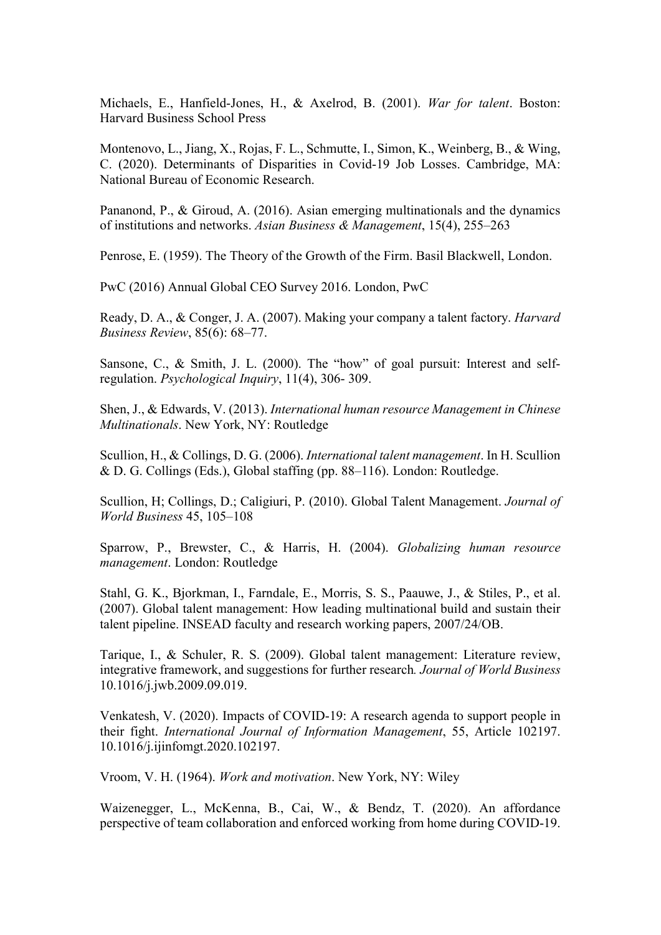Michaels, E., Hanfield-Jones, H., & Axelrod, B. (2001). War for talent. Boston: Harvard Business School Press

Montenovo, L., Jiang, X., Rojas, F. L., Schmutte, I., Simon, K., Weinberg, B., & Wing, C. (2020). Determinants of Disparities in Covid-19 Job Losses. Cambridge, MA: National Bureau of Economic Research.

Pananond, P., & Giroud, A. (2016). Asian emerging multinationals and the dynamics of institutions and networks. Asian Business & Management, 15(4), 255–263

Penrose, E. (1959). The Theory of the Growth of the Firm. Basil Blackwell, London.

PwC (2016) Annual Global CEO Survey 2016. London, PwC

Ready, D. A., & Conger, J. A. (2007). Making your company a talent factory. Harvard Business Review, 85(6): 68–77.

Sansone, C., & Smith, J. L. (2000). The "how" of goal pursuit: Interest and selfregulation. Psychological Inquiry, 11(4), 306- 309.

Shen, J., & Edwards, V. (2013). International human resource Management in Chinese Multinationals. New York, NY: Routledge

Scullion, H., & Collings, D. G. (2006). International talent management. In H. Scullion & D. G. Collings (Eds.), Global staffing (pp. 88–116). London: Routledge.

Scullion, H; Collings, D.; Caligiuri, P. (2010). Global Talent Management. Journal of World Business 45, 105–108

Sparrow, P., Brewster, C., & Harris, H. (2004). Globalizing human resource management. London: Routledge

Stahl, G. K., Bjorkman, I., Farndale, E., Morris, S. S., Paauwe, J., & Stiles, P., et al. (2007). Global talent management: How leading multinational build and sustain their talent pipeline. INSEAD faculty and research working papers, 2007/24/OB.

Tarique, I., & Schuler, R. S. (2009). Global talent management: Literature review, integrative framework, and suggestions for further research. Journal of World Business 10.1016/j.jwb.2009.09.019.

Venkatesh, V. (2020). Impacts of COVID-19: A research agenda to support people in their fight. International Journal of Information Management, 55, Article 102197. 10.1016/j.ijinfomgt.2020.102197.

Vroom, V. H. (1964). Work and motivation. New York, NY: Wiley

Waizenegger, L., McKenna, B., Cai, W., & Bendz, T. (2020). An affordance perspective of team collaboration and enforced working from home during COVID-19.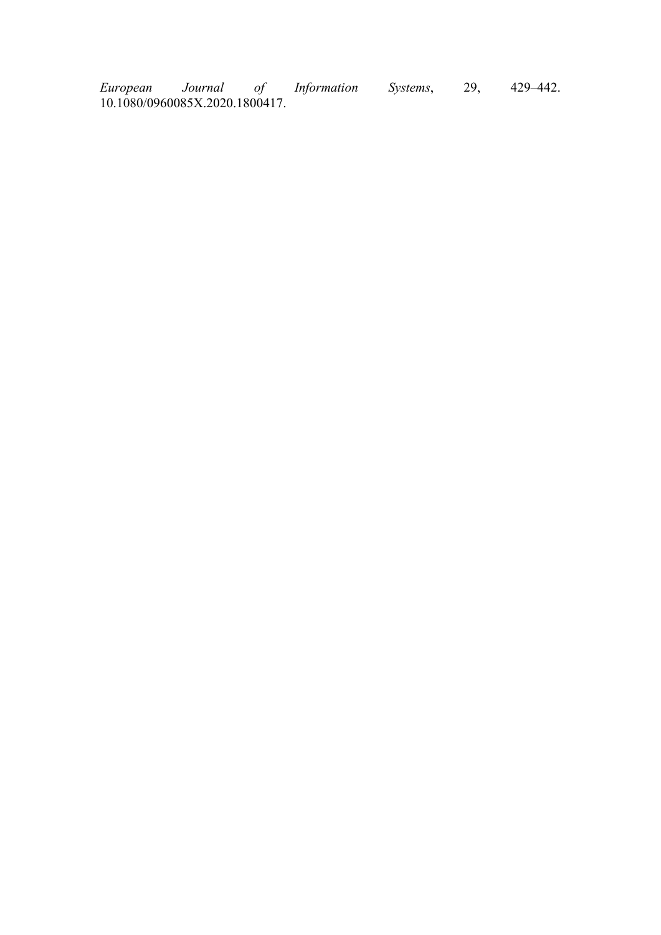European Journal of Information Systems, 29, 429–442. 10.1080/0960085X.2020.1800417.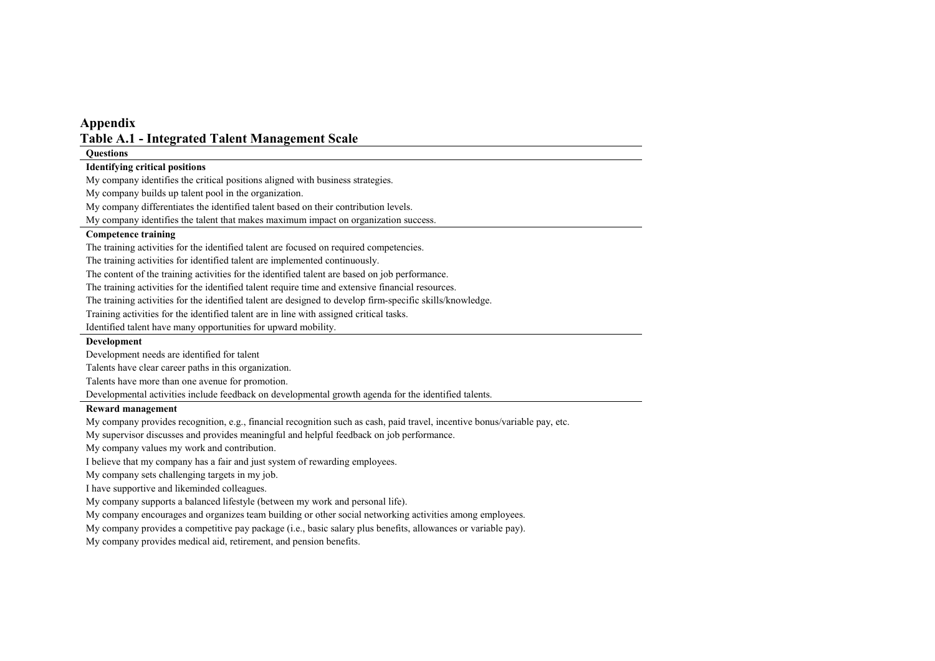# Appendix Table A.1 - Integrated Talent Management Scale

**Questions** 

#### Identifying critical positions

My company identifies the critical positions aligned with business strategies.

My company builds up talent pool in the organization.

My company differentiates the identified talent based on their contribution levels.

My company identifies the talent that makes maximum impact on organization success.

#### Competence training

The training activities for the identified talent are focused on required competencies.

The training activities for identified talent are implemented continuously.

The content of the training activities for the identified talent are based on job performance.

The training activities for the identified talent require time and extensive financial resources.

The training activities for the identified talent are designed to develop firm-specific skills/knowledge.

Training activities for the identified talent are in line with assigned critical tasks.

Identified talent have many opportunities for upward mobility.

#### **Development**

Development needs are identified for talent

Talents have clear career paths in this organization.

Talents have more than one avenue for promotion.

Developmental activities include feedback on developmental growth agenda for the identified talents.

#### Reward management

My company provides recognition, e.g., financial recognition such as cash, paid travel, incentive bonus/variable pay, etc.

My supervisor discusses and provides meaningful and helpful feedback on job performance.

My company values my work and contribution.

I believe that my company has a fair and just system of rewarding employees.

My company sets challenging targets in my job.

I have supportive and likeminded colleagues.

My company supports a balanced lifestyle (between my work and personal life).

My company encourages and organizes team building or other social networking activities among employees.

My company provides a competitive pay package (i.e., basic salary plus benefits, allowances or variable pay).

My company provides medical aid, retirement, and pension benefits.